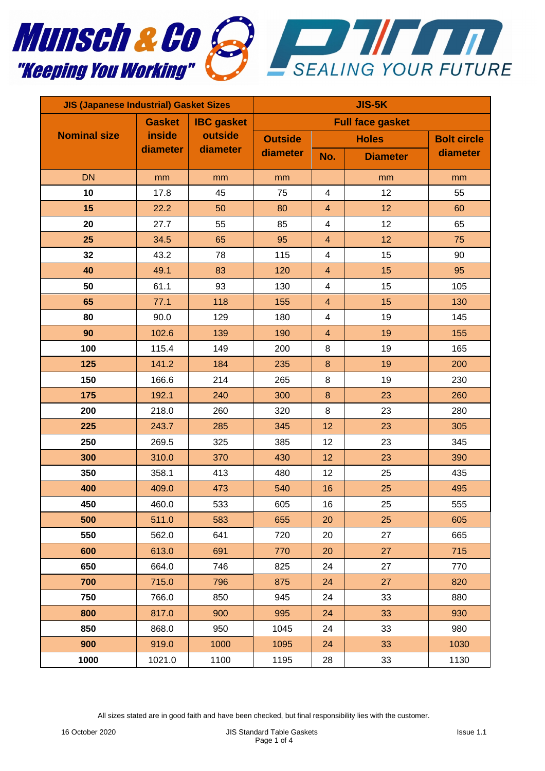



| <b>JIS (Japanese Industrial) Gasket Sizes</b> |               |                                          | <b>JIS-5K</b>           |                         |                 |                    |
|-----------------------------------------------|---------------|------------------------------------------|-------------------------|-------------------------|-----------------|--------------------|
|                                               | <b>Gasket</b> | <b>IBC</b> gasket<br>outside<br>diameter | <b>Full face gasket</b> |                         |                 |                    |
| <b>Nominal size</b>                           | inside        |                                          | <b>Outside</b>          | <b>Holes</b>            |                 | <b>Bolt circle</b> |
|                                               | diameter      |                                          | diameter                | No.                     | <b>Diameter</b> | diameter           |
| <b>DN</b>                                     | mm            | mm                                       | mm                      |                         | mm              | mm                 |
| 10                                            | 17.8          | 45                                       | 75                      | $\overline{4}$          | 12              | 55                 |
| 15                                            | 22.2          | 50                                       | 80                      | $\overline{4}$          | 12              | 60                 |
| 20                                            | 27.7          | 55                                       | 85                      | $\overline{\mathbf{4}}$ | 12              | 65                 |
| 25                                            | 34.5          | 65                                       | 95                      | $\overline{4}$          | 12              | 75                 |
| 32                                            | 43.2          | 78                                       | 115                     | 4                       | 15              | 90                 |
| 40                                            | 49.1          | 83                                       | 120                     | $\overline{4}$          | 15              | 95                 |
| 50                                            | 61.1          | 93                                       | 130                     | 4                       | 15              | 105                |
| 65                                            | 77.1          | 118                                      | 155                     | $\overline{4}$          | 15              | 130                |
| 80                                            | 90.0          | 129                                      | 180                     | $\overline{\mathbf{4}}$ | 19              | 145                |
| 90                                            | 102.6         | 139                                      | 190                     | $\overline{4}$          | 19              | 155                |
| 100                                           | 115.4         | 149                                      | 200                     | 8                       | 19              | 165                |
| 125                                           | 141.2         | 184                                      | 235                     | $\bf 8$                 | 19              | 200                |
| 150                                           | 166.6         | 214                                      | 265                     | 8                       | 19              | 230                |
| 175                                           | 192.1         | 240                                      | 300                     | $\bf 8$                 | 23              | 260                |
| 200                                           | 218.0         | 260                                      | 320                     | 8                       | 23              | 280                |
| 225                                           | 243.7         | 285                                      | 345                     | 12                      | 23              | 305                |
| 250                                           | 269.5         | 325                                      | 385                     | 12                      | 23              | 345                |
| 300                                           | 310.0         | 370                                      | 430                     | 12                      | 23              | 390                |
| 350                                           | 358.1         | 413                                      | 480                     | 12                      | 25              | 435                |
| 400                                           | 409.0         | 473                                      | 540                     | 16                      | 25              | 495                |
| 450                                           | 460.0         | 533                                      | 605                     | 16                      | 25              | 555                |
| 500                                           | 511.0         | 583                                      | 655                     | 20                      | 25              | 605                |
| 550                                           | 562.0         | 641                                      | 720                     | 20                      | 27              | 665                |
| 600                                           | 613.0         | 691                                      | 770                     | 20                      | 27              | 715                |
| 650                                           | 664.0         | 746                                      | 825                     | 24                      | 27              | 770                |
| 700                                           | 715.0         | 796                                      | 875                     | 24                      | 27              | 820                |
| 750                                           | 766.0         | 850                                      | 945                     | 24                      | 33              | 880                |
| 800                                           | 817.0         | 900                                      | 995                     | 24                      | 33              | 930                |
| 850                                           | 868.0         | 950                                      | 1045                    | 24                      | 33              | 980                |
| 900                                           | 919.0         | 1000                                     | 1095                    | 24                      | 33              | 1030               |
| 1000                                          | 1021.0        | 1100                                     | 1195                    | 28                      | 33              | 1130               |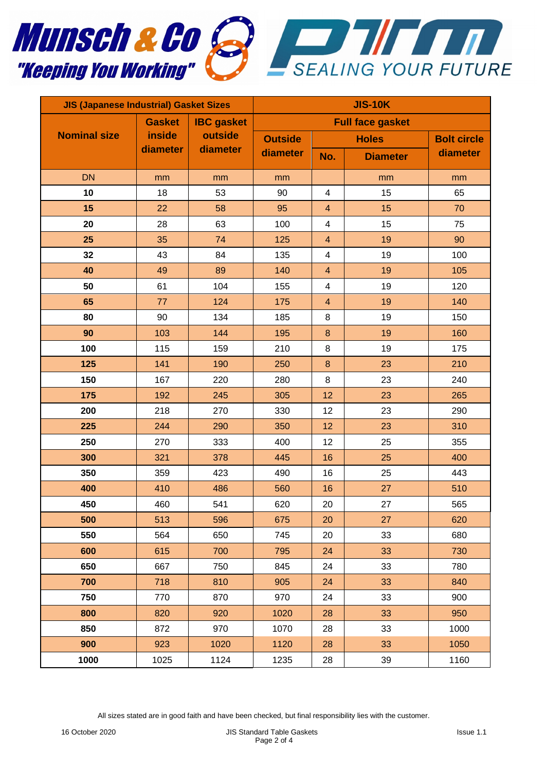



| <b>JIS (Japanese Industrial) Gasket Sizes</b> |                                     |                                          | <b>JIS-10K</b>          |                         |                 |                    |  |
|-----------------------------------------------|-------------------------------------|------------------------------------------|-------------------------|-------------------------|-----------------|--------------------|--|
|                                               | <b>Gasket</b><br>inside<br>diameter | <b>IBC</b> gasket<br>outside<br>diameter | <b>Full face gasket</b> |                         |                 |                    |  |
| <b>Nominal size</b>                           |                                     |                                          | <b>Outside</b>          | <b>Holes</b>            |                 | <b>Bolt circle</b> |  |
|                                               |                                     |                                          | diameter                | No.                     | <b>Diameter</b> | diameter           |  |
| <b>DN</b>                                     | mm                                  | mm                                       | mm                      |                         | mm              | mm                 |  |
| 10                                            | 18                                  | 53                                       | 90                      | $\overline{4}$          | 15              | 65                 |  |
| 15                                            | 22                                  | 58                                       | 95                      | $\overline{\mathbf{4}}$ | 15              | 70                 |  |
| 20                                            | 28                                  | 63                                       | 100                     | $\overline{\mathbf{4}}$ | 15              | 75                 |  |
| 25                                            | 35                                  | 74                                       | 125                     | $\overline{4}$          | 19              | 90                 |  |
| 32                                            | 43                                  | 84                                       | 135                     | $\overline{\mathbf{4}}$ | 19              | 100                |  |
| 40                                            | 49                                  | 89                                       | 140                     | $\overline{\mathbf{4}}$ | 19              | 105                |  |
| 50                                            | 61                                  | 104                                      | 155                     | 4                       | 19              | 120                |  |
| 65                                            | 77                                  | 124                                      | 175                     | $\overline{4}$          | 19              | 140                |  |
| 80                                            | 90                                  | 134                                      | 185                     | 8                       | 19              | 150                |  |
| 90                                            | 103                                 | 144                                      | 195                     | $\bf 8$                 | 19              | 160                |  |
| 100                                           | 115                                 | 159                                      | 210                     | 8                       | 19              | 175                |  |
| 125                                           | 141                                 | 190                                      | 250                     | $\bf 8$                 | 23              | 210                |  |
| 150                                           | 167                                 | 220                                      | 280                     | 8                       | 23              | 240                |  |
| 175                                           | 192                                 | 245                                      | 305                     | 12                      | 23              | 265                |  |
| 200                                           | 218                                 | 270                                      | 330                     | 12                      | 23              | 290                |  |
| 225                                           | 244                                 | 290                                      | 350                     | 12                      | 23              | 310                |  |
| 250                                           | 270                                 | 333                                      | 400                     | 12                      | 25              | 355                |  |
| 300                                           | 321                                 | 378                                      | 445                     | 16                      | 25              | 400                |  |
| 350                                           | 359                                 | 423                                      | 490                     | 16                      | 25              | 443                |  |
| 400                                           | 410                                 | 486                                      | 560                     | 16                      | 27              | 510                |  |
| 450                                           | 460                                 | 541                                      | 620                     | $20\,$                  | 27              | 565                |  |
| 500                                           | 513                                 | 596                                      | 675                     | 20                      | 27              | 620                |  |
| 550                                           | 564                                 | 650                                      | 745                     | 20                      | 33              | 680                |  |
| 600                                           | 615                                 | 700                                      | 795                     | 24                      | 33              | 730                |  |
| 650                                           | 667                                 | 750                                      | 845                     | 24                      | 33              | 780                |  |
| 700                                           | 718                                 | 810                                      | 905                     | 24                      | 33              | 840                |  |
| 750                                           | 770                                 | 870                                      | 970                     | 24                      | 33              | 900                |  |
| 800                                           | 820                                 | 920                                      | 1020                    | 28                      | 33              | 950                |  |
| 850                                           | 872                                 | 970                                      | 1070                    | 28                      | 33              | 1000               |  |
| 900                                           | 923                                 | 1020                                     | 1120                    | 28                      | 33              | 1050               |  |
| 1000                                          | 1025                                | 1124                                     | 1235                    | 28                      | 39              | 1160               |  |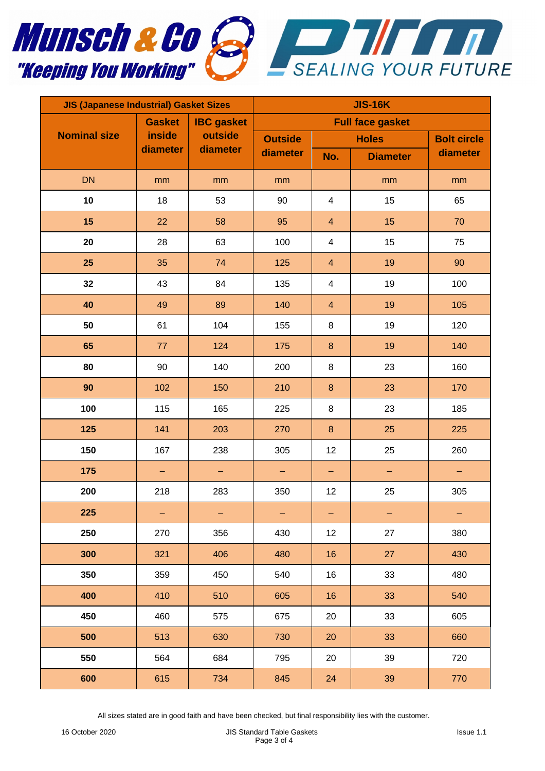



| <b>JIS (Japanese Industrial) Gasket Sizes</b> |                                     |                                          | <b>JIS-16K</b>             |                         |                   |                    |  |
|-----------------------------------------------|-------------------------------------|------------------------------------------|----------------------------|-------------------------|-------------------|--------------------|--|
|                                               | <b>Gasket</b><br>inside<br>diameter | <b>IBC</b> gasket<br>outside<br>diameter | <b>Full face gasket</b>    |                         |                   |                    |  |
| <b>Nominal size</b>                           |                                     |                                          | <b>Outside</b><br>diameter | <b>Holes</b>            |                   | <b>Bolt circle</b> |  |
|                                               |                                     |                                          |                            | No.                     | <b>Diameter</b>   | diameter           |  |
| <b>DN</b>                                     | mm                                  | mm                                       | mm                         |                         | mm                | mm                 |  |
| 10                                            | 18                                  | 53                                       | 90                         | $\overline{\mathbf{4}}$ | 15                | 65                 |  |
| 15                                            | 22                                  | 58                                       | 95                         | $\overline{\mathbf{4}}$ | 15                | 70                 |  |
| 20                                            | 28                                  | 63                                       | 100                        | 4                       | 15                | 75                 |  |
| 25                                            | 35                                  | 74                                       | 125                        | $\overline{\mathbf{4}}$ | 19                | 90                 |  |
| 32                                            | 43                                  | 84                                       | 135                        | 4                       | 19                | 100                |  |
| 40                                            | 49                                  | 89                                       | 140                        | $\overline{4}$          | 19                | 105                |  |
| 50                                            | 61                                  | 104                                      | 155                        | $\,8\,$                 | 19                | 120                |  |
| 65                                            | 77                                  | 124                                      | 175                        | $\bf 8$                 | 19                | 140                |  |
| 80                                            | 90                                  | 140                                      | 200                        | $\,8\,$                 | 23                | 160                |  |
| 90                                            | 102                                 | 150                                      | 210                        | $\bf 8$                 | 23                | 170                |  |
| 100                                           | 115                                 | 165                                      | 225                        | 8                       | 23                | 185                |  |
| 125                                           | 141                                 | 203                                      | 270                        | $\bf 8$                 | 25                | 225                |  |
| 150                                           | 167                                 | 238                                      | 305                        | 12                      | 25                | 260                |  |
| 175                                           | -                                   | -                                        | -                          | -                       | $\qquad \qquad -$ | -                  |  |
| 200                                           | 218                                 | 283                                      | 350                        | 12                      | 25                | 305                |  |
| 225                                           | -                                   | -                                        | -                          | -                       | -                 | -                  |  |
| 250                                           | 270                                 | 356                                      | 430                        | 12                      | 27                | 380                |  |
| 300                                           | 321                                 | 406                                      | 480                        | 16                      | 27                | 430                |  |
| 350                                           | 359                                 | 450                                      | 540                        | 16                      | 33                | 480                |  |
| 400                                           | 410                                 | 510                                      | 605                        | 16                      | 33                | 540                |  |
| 450                                           | 460                                 | 575                                      | 675                        | 20                      | 33                | 605                |  |
| 500                                           | 513                                 | 630                                      | 730                        | 20                      | 33                | 660                |  |
| 550                                           | 564                                 | 684                                      | 795                        | 20                      | 39                | 720                |  |
| 600                                           | 615                                 | 734                                      | 845                        | 24                      | 39                | 770                |  |